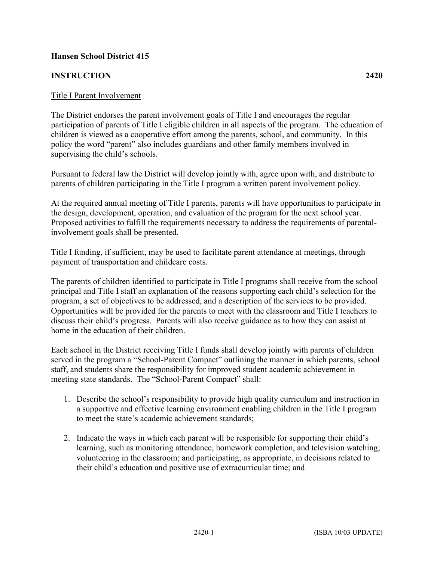## **Hansen School District 415**

## **INSTRUCTION 2420**

## Title I Parent Involvement

The District endorses the parent involvement goals of Title I and encourages the regular participation of parents of Title I eligible children in all aspects of the program. The education of children is viewed as a cooperative effort among the parents, school, and community. In this policy the word "parent" also includes guardians and other family members involved in supervising the child's schools.

Pursuant to federal law the District will develop jointly with, agree upon with, and distribute to parents of children participating in the Title I program a written parent involvement policy.

At the required annual meeting of Title I parents, parents will have opportunities to participate in the design, development, operation, and evaluation of the program for the next school year. Proposed activities to fulfill the requirements necessary to address the requirements of parentalinvolvement goals shall be presented.

Title I funding, if sufficient, may be used to facilitate parent attendance at meetings, through payment of transportation and childcare costs.

The parents of children identified to participate in Title I programs shall receive from the school principal and Title I staff an explanation of the reasons supporting each child's selection for the program, a set of objectives to be addressed, and a description of the services to be provided. Opportunities will be provided for the parents to meet with the classroom and Title I teachers to discuss their child's progress. Parents will also receive guidance as to how they can assist at home in the education of their children.

Each school in the District receiving Title I funds shall develop jointly with parents of children served in the program a "School-Parent Compact" outlining the manner in which parents, school staff, and students share the responsibility for improved student academic achievement in meeting state standards. The "School-Parent Compact" shall:

- 1. Describe the school's responsibility to provide high quality curriculum and instruction in a supportive and effective learning environment enabling children in the Title I program to meet the state's academic achievement standards;
- 2. Indicate the ways in which each parent will be responsible for supporting their child's learning, such as monitoring attendance, homework completion, and television watching; volunteering in the classroom; and participating, as appropriate, in decisions related to their child's education and positive use of extracurricular time; and